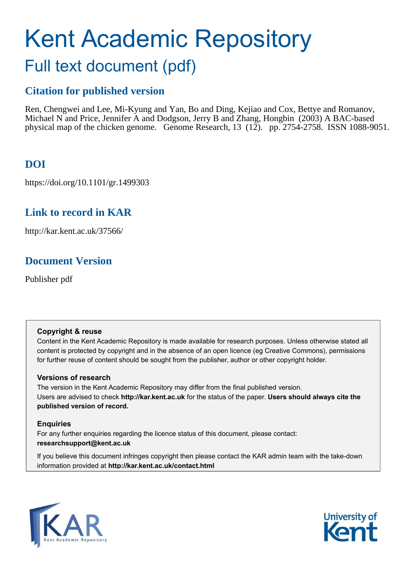# Kent Academic Repository Full text document (pdf)

## **Citation for published version**

Ren, Chengwei and Lee, Mi-Kyung and Yan, Bo and Ding, Kejiao and Cox, Bettye and Romanov, Michael N and Price, Jennifer A and Dodgson, Jerry B and Zhang, Hongbin (2003) A BAC-based physical map of the chicken genome. Genome Research, 13 (12). pp. 2754-2758. ISSN 1088-9051.

## **DOI**

https://doi.org/10.1101/gr.1499303

## **Link to record in KAR**

http://kar.kent.ac.uk/37566/

## **Document Version**

Publisher pdf

#### **Copyright & reuse**

Content in the Kent Academic Repository is made available for research purposes. Unless otherwise stated all content is protected by copyright and in the absence of an open licence (eg Creative Commons), permissions for further reuse of content should be sought from the publisher, author or other copyright holder.

#### **Versions of research**

The version in the Kent Academic Repository may differ from the final published version. Users are advised to check **http://kar.kent.ac.uk** for the status of the paper. **Users should always cite the published version of record.**

#### **Enquiries**

For any further enquiries regarding the licence status of this document, please contact: **researchsupport@kent.ac.uk**

If you believe this document infringes copyright then please contact the KAR admin team with the take-down information provided at **http://kar.kent.ac.uk/contact.html**



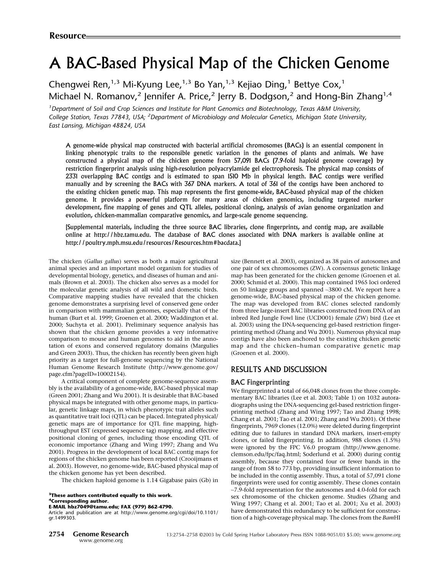## A BAC-Based Physical Map of the Chicken Genome

### Chengwei Ren,<sup>1,3</sup> Mi-Kyung Lee,<sup>1,3</sup> Bo Yan,<sup>1,3</sup> Kejiao Ding,<sup>1</sup> Bettye Cox,<sup>1</sup> Michael N. Romanov,<sup>2</sup> Jennifer A. Price,<sup>2</sup> Jerry B. Dodgson,<sup>2</sup> and Hong-Bin Zhang<sup>1,4</sup>

*<sup>1</sup>Department of Soil and Crop Sciences and Institute for Plant Genomics and Biotechnology, Texas A&MUniversity, College Station, Texas 77843, USA; <sup>2</sup>Department of Microbiology and Molecular Genetics, Michigan State University, East Lansing, Michigan 48824, USA*

A genome-wide physical map constructed with bacterial artificial chromosomes (BACs) is an essential component in linking phenotypic traits to the responsible genetic variation in the genomes of plants and animals. We have constructed a physical map of the chicken genome from 57,091 BACs (7.9-fold haploid genome coverage) by restriction fingerprint analysis using high-resolution polyacrylamide gel electrophoresis.The physical map consists of 2331 overlapping BAC contigs and is estimated to span 1510 Mb in physical length. BAC contigs were verified manually and by screening the BACs with 367 DNA markers. A total of 361 of the contigs have been anchored to the existing chicken genetic map.This map represents the first genome-wide, BAC-based physical map of the chicken genome.It provides a powerful platform for many areas of chicken genomics, including targeted marker development, fine mapping of genes and QTL alleles, positional cloning, analysis of avian genome organization and evolution, chicken-mammalian comparative genomics, and large-scale genome sequencing.

[Supplemental materials, including the three source BAC libraries, clone fingerprints, and contig map, are available online at http://hbz.tamu.edu. The database of BAC clones associated with DNA markers is available online at http://poultry.mph.msu.edu/resources/Resources.htm#bacdata.]

The chicken (*Gallus gallus*) serves as both a major agricultural animal species and an important model organism for studies of developmental biology, genetics, and diseases of human and animals (Brown et al. 2003). The chicken also serves as a model for the molecular genetic analysis of all wild and domestic birds. Comparative mapping studies have revealed that the chicken genome demonstrates a surprising level of conserved gene order in comparison with mammalian genomes, especially that of the human (Burt et al. 1999; Groenen et al. 2000; Waddington et al. 2000; Suchyta et al. 2001). Preliminary sequence analysis has shown that the chicken genome provides a very informative comparison to mouse and human genomes to aid in the annotation of exons and conserved regulatory domains (Margulies and Green 2003). Thus, the chicken has recently been given high priority as a target for full-genome sequencing by the National Human Genome Research Institute (http://www.genome.gov/ page.cfm?pageID=10002154).

A critical component of complete genome-sequence assembly is the availability of a genome-wide, BAC-based physical map (Green 2001; Zhang and Wu 2001). It is desirable that BAC-based physical maps be integrated with other genome maps, in particular, genetic linkage maps, in which phenotypic trait alleles such as quantitative trait loci (QTL) can be placed. Integrated physical/ genetic maps are of importance for QTL fine mapping, highthroughput EST (expressed sequence tag) mapping, and effective positional cloning of genes, including those encoding QTL of economic importance (Zhang and Wing 1997; Zhang and Wu 2001). Progress in the development of local BAC contig maps for regions of the chicken genome has been reported (Crooijmans et al. 2003). However, no genome-wide, BAC-based physical map of the chicken genome has yet been described.

The chicken haploid genome is 1.14 Gigabase pairs (Gb) in

**<sup>3</sup>These authors contributed equally to this work. <sup>4</sup>Corresponding author. E-MAIL hbz7049@tamu.edu; FAX (979) 862-4790.**

Article and publication are at http://www.genome.org/cgi/doi/10.1101/ gr.1499303.

size (Bennett et al. 2003), organized as 38 pairs of autosomes and one pair of sex chromosomes (ZW). A consensus genetic linkage map has been generated for the chicken genome (Groenen et al. 2000; Schmid et al. 2000). This map contained 1965 loci ordered on 50linkage groups and spanned ∼3800 cM. We report here a genome-wide, BAC-based physical map of the chicken genome. The map was developed from BAC clones selected randomly from three large-insert BAC libraries constructed from DNA of an inbred Red Jungle Fowl line (UCD001) female (ZW) bird (Lee et al. 2003) using the DNA-sequencing gel-based restriction fingerprinting method (Zhang and Wu 2001). Numerous physical map contigs have also been anchored to the existing chicken genetic map and the chicken–human comparative genetic map (Groenen et al. 2000).

#### RESULTS AND DISCUSSION

#### BAC Fingerprinting

We fingerprinted a total of 66,048 clones from the three complementary BAC libraries (Lee et al. 2003; Table 1) on 1032 autoradiographs using the DNA-sequencing gel-based restriction fingerprinting method (Zhang and Wing 1997; Tao and Zhang 1998; Chang et al. 2001; Tao et al. 2001; Zhang and Wu 2001). Of these fingerprints, 7969 clones (12.0%) were deleted during fingerprint editing due to failures in standard DNA markers, insert-empty clones, or failed fingerprinting. In addition, 988 clones (1.5%) were ignored by the FPC V6.0 program (http://www.genome. clemson.edu/fpc/faq.html; Soderlund et al. 2000) during contig assembly, because they contained four or fewer bands in the range of from 58 to 773 bp, providing insufficient information to be included in the contig assembly. Thus, a total of 57,091 clone fingerprints were used for contig assembly. These clones contain ∼7.9-fold representation for the autosomes and 4.0-fold for each sex chromosome of the chicken genome. Studies (Zhang and Wing 1997; Chang et al. 2001; Tao et al. 2001; Xu et al. 2003) have demonstrated this redundancy to be sufficient for construction of a high-coverage physical map. The clones from the *Bam*HI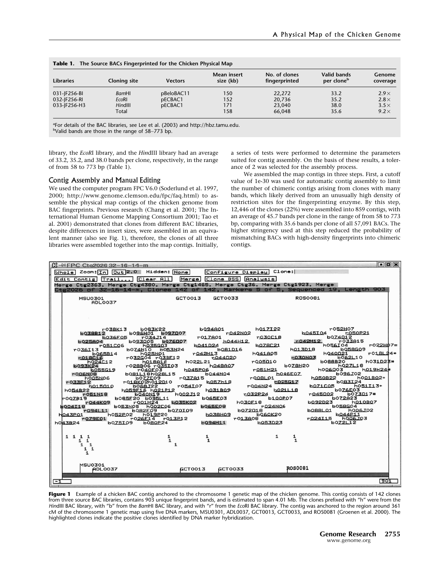| <b>Libraries</b> | Cloning site | <b>Vectors</b> | Mean insert<br>size (kb) | No. of clones<br>fingerprinted | Valid bands<br>per clone <sup>b</sup> | Genome<br>coverage |
|------------------|--------------|----------------|--------------------------|--------------------------------|---------------------------------------|--------------------|
| 031-JF256-BI     | BamHI        | pBeloBAC11     | 150                      | 22,272                         | 33.2                                  | $2.9\times$        |
| 032-JF256-RI     | <b>EcoRI</b> | pECBAC1        | 152                      | 20,736                         | 35.2                                  | $2.8\times$        |
| 033-JF256-H3     | HindIII      | pECBAC1        | 171                      | 23,040                         | 38.0                                  | $3.5\times$        |
|                  | Total        |                | 158                      | 66.048                         | 35.6                                  | $9.2\times$        |

| <b>Table 1.</b> The Source BACs Fingerprinted for the Chicken Physical Map |  |  |
|----------------------------------------------------------------------------|--|--|

<sup>a</sup>For details of the BAC libraries, see Lee et al. (2003) and http://hbz.tamu.edu.

<sup>b</sup>Valid bands are those in the range of 58∼773 bp.

library, the *EcoR*I library, and the *Hin*dIII library had an average of 33.2, 35.2, and 38.0bands per clone, respectively, in the range of from 58 to 773 bp (Table 1).

#### Contig Assembly and Manual Editing

We used the computer program FPC V6.0 (Soderlund et al. 1997, 2000; http://www.genome.clemson.edu/fpc/faq.html) to assemble the physical map contigs of the chicken genome from BAC fingerprints. Previous research (Chang et al. 2001; The International Human Genome Mapping Consortium 2001; Tao et al. 2001) demonstrated that clones from different BAC libraries, despite differences in insert sizes, were assembled in an equivalent manner (also see Fig. 1), therefore, the clones of all three libraries were assembled together into the map contigs. Initially,

a series of tests were performed to determine the parameters suited for contig assembly. On the basis of these results, a tolerance of 2 was selected for the assembly process.

We assembled the map contigs in three steps. First, a cutoff value of 1e-30 was used for automatic contig assembly to limit the number of chimeric contigs arising from clones with many bands, which likely derived from an unusually high density of restriction sites for the fingerprinting enzyme. By this step, 12,446 of the clones (22%) were assembled into 859 contigs, with an average of 45.7 bands per clone in the range of from 58 to 773 bp, comparing with 35.6 bands per clone of all 57,091 BACs. The higher stringency used at this step reduced the probability of mismatching BACs with high-density fingerprints into chimeric contigs.



Figure 1 Example of a chicken BAC contig anchored to the chromosome 1 genetic map of the chicken genome. This contig consists of 142 clones from three source BAC libraries, contains 903 unique fingerprint bands, and is estimated to span 4.01 Mb. The clones prefixed with "h" were from the *Hin*dIII BAC library, with "b" from the *Bam*HI BAC library, and with "r" from the *Eco*RI BAC library. The contig was anchored to the region around 361 cM of the chromosome 1 genetic map using five DNA markers, MSU0301, ADL0037, GCT0013, GCT0033, and ROS0081 (Groenen et al. 2000). The highlighted clones indicate the positive clones identified by DNA marker hybridization.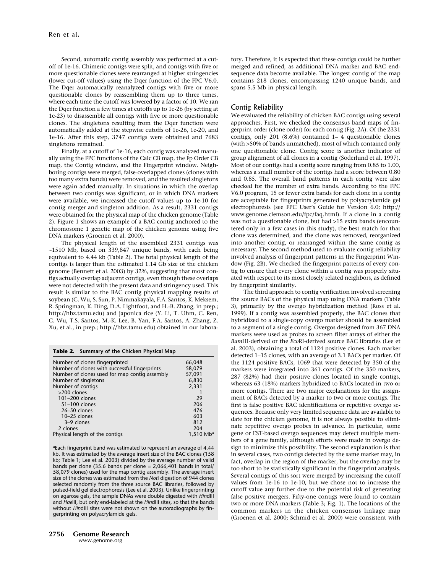Second, automatic contig assembly was performed at a cutoff of 1e-16. Chimeric contigs were split, and contigs with five or more questionable clones were rearranged at higher stringencies (lower cut-off values) using the Dqer function of the FPC V6.0. The Dqer automatically reanalyzed contigs with five or more questionable clones by reassembling them up to three times, where each time the cutoff was lowered by a factor of 10. We ran the Dqer function a few times at cutoffs up to 1e-26 (by setting at 1e-23) to disassemble all contigs with five or more questionable clones. The singletons resulting from the Dqer function were automatically added at the stepwise cutoffs of 1e-26, 1e-20, and 1e-16. After this step, 3747 contigs were obtained and 7683 singletons remained.

Finally, at a cutoff of 1e-16, each contig was analyzed manually using the FPC functions of the Calc CB map, the Fp Order CB map, the Contig window, and the Fingerprint window. Neighboring contigs were merged, false-overlapped clones (clones with too many extra bands) were removed, and the resulted singletons were again added manually. In situations in which the overlap between two contigs was significant, or in which DNA markers were available, we increased the cutoff values up to 1e-10 for contig merger and singleton addition. As a result, 2331 contigs were obtained for the physical map of the chicken genome (Table 2). Figure 1 shows an example of a BAC contig anchored to the chromosome 1 genetic map of the chicken genome using five DNA markers (Groenen et al. 2000).

The physical length of the assembled 2331 contigs was ∼1510Mb, based on 339,847 unique bands, with each being equivalent to 4.44 kb (Table 2). The total physical length of the contigs is larger than the estimated 1.14 Gb size of the chicken genome (Bennett et al. 2003) by 32%, suggesting that most contigs actually overlap adjacent contigs, even though these overlaps were not detected with the present data and stringency used. This result is similar to the BAC contig physical mapping results of soybean (C. Wu, S. Sun, P. Nimmakayala, F.A. Santos, K. Meksem, R. Springman, K. Ding, D.A. Lightfoot, and H.-B. Zhang, in prep.; http://hbz.tamu.edu) and japonica rice (Y. Li, T. Uhm, C. Ren, C. Wu, T.S. Santos, M.-K. Lee, B. Yan, F.A. Santos, A. Zhang, Z. Xu, et al., in prep.; http://hbz.tamu.edu) obtained in our labora-

**Table 2. Summary of the Chicken Physical Map**

| Number of clones fingerprinted                | 66,048                  |
|-----------------------------------------------|-------------------------|
| Number of clones with successful fingerprints | 58,079                  |
| Number of clones used for map contig assembly | 57,091                  |
| Number of singletons                          | 6,830                   |
| Number of contigs                             | 2,331                   |
| >200 clones                                   |                         |
| 101-200 clones                                | 29                      |
| 51-100 clones                                 | 206                     |
| 26-50 clones                                  | 476                     |
| $10-25$ clones                                | 603                     |
| 3-9 clones                                    | 812                     |
| 2 clones                                      | 204                     |
| Physical length of the contigs                | $1,510$ Mb <sup>a</sup> |
|                                               |                         |

<sup>a</sup>Each fingerprint band was estimated to represent an average of 4.44 kb. It was estimated by the average insert size of the BAC clones (158 kb; Table 1; Lee et al. 2003) divided by the average number of valid bands per clone (35.6 bands per clone = 2,066,401 bands in total/ 58,079 clones) used for the map contig assembly. The average insert size of the clones was estimated from the *Not*I digestion of 944 clones selected randomly from the three source BAC libraries, followed by pulsed-field gel electrophoresis (Lee et al. 2003). Unlike fingerprinting on agarose gels, the sample DNAs were double digested with *Hin*dIII and *Hae*III, but only end-labeled at the *Hin*dIII sites, so that the bands without *Hin*dIII sites were not shown on the autoradiographs by fingerprinting on polyacrylamide gels.

tory. Therefore, it is expected that these contigs could be further merged and refined, as additional DNA marker and BAC endsequence data become available. The longest contig of the map contains 218 clones, encompassing 1240 unique bands, and spans 5.5 Mb in physical length.

#### Contig Reliability

We evaluated the reliability of chicken BAC contigs using several approaches. First, we checked the consensus band maps of fingerprint order (clone order) for each contig (Fig. 2A). Of the 2331 contigs, only 201 (8.6%) contained 1– 4 questionable clones (with >50% of bands unmatched), most of which contained only one questionable clone. Contig score is another indicator of group alignment of all clones in a contig (Soderlund et al. 1997). Most of our contigs had a contig score ranging from 0.85 to 1.00, whereas a small number of the contigs had a score between 0.80 and 0.85. The overall band patterns in each contig were also checked for the number of extra bands. According to the FPC V6.0 program, 15 or fewer extra bands for each clone in a contig are acceptable for fingerprints generated by polyacrylamide gel electrophoresis (see FPC User's Guide for Version 6.0; http:// www.genome.clemson.edu/fpc/faq.html). If a clone in a contig was not a questionable clone, but had >15 extra bands (encountered only in a few cases in this study), the best match for that clone was determined, and the clone was removed, reorganized into another contig, or rearranged within the same contig as necessary. The second method used to evaluate contig reliability involved analysis of fingerprint patterns in the Fingerprint Window (Fig. 2B). We checked the fingerprint patterns of every contig to ensure that every clone within a contig was properly situated with respect to its most closely related neighbors, as defined by fingerprint similarity.

The third approach to contig verification involved screening the source BACs of the physical map using DNA markers (Table 3), primarily by the overgo hybridization method (Ross et al. 1999). If a contig was assembled properly, the BAC clones that hybridized to a single-copy overgo marker should be assembled to a segment of a single contig. Overgos designed from 367 DNA markers were used as probes to screen filter arrays of either the *Bam*HI-derived or the *Eco*RI-derived source BAC libraries (Lee et al. 2003), obtaining a total of 1124 positive clones. Each marker detected 1–15 clones, with an average of 3.1 BACs per marker. Of the 1124 positive BACs, 1069 that were detected by 350 of the markers were integrated into 361 contigs. Of the 350 markers, 287 (82%) had their positive clones located in single contigs, whereas 63 (18%) markers hybridized to BACs located in two or more contigs. There are two major explanations for the assignment of BACs detected by a marker to two or more contigs. The first is false positive BAC identifications or repetitive overgo sequences. Because only very limited sequence data are available to date for the chicken genome, it is not always possible to eliminate repetitive overgo probes in advance. In particular, some gene or EST-based overgo sequences may detect multiple members of a gene family, although efforts were made in overgo design to minimize this possibility. The second explanation is that in several cases, two contigs detected by the same marker may, in fact, overlap in the region of the marker, but the overlap may be too short to be statistically significant in the fingerprint analysis. Several contigs of this sort were merged by increasing the cutoff values from 1e-16 to 1e-10, but we chose not to increase the cutoff value any further due to the potential risk of generating false positive mergers. Fifty-one contigs were found to contain two or more DNA markers (Table 3; Fig. 1). The locations of the common markers in the chicken consensus linkage map (Groenen et al. 2000; Schmid et al. 2000) were consistent with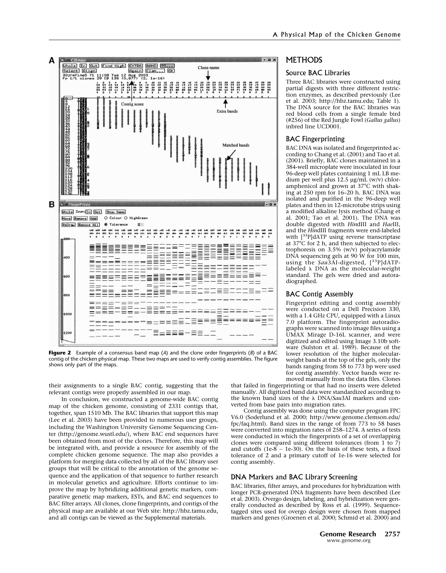

**Figure 2** Example of a consensus band map (*A*) and the clone order fingerprints (*B*) of a BAC contig of the chicken physical map. These two maps are used to verify contig assemblies. The figure shows only part of the maps.

their assignments to a single BAC contig, suggesting that the relevant contigs were properly assembled in our map.

In conclusion, we constructed a genome-wide BAC contig map of the chicken genome, consisting of 2331 contigs that, together, span 1510Mb. The BAC libraries that support this map (Lee et al. 2003) have been provided to numerous user groups, including the Washington University Genome Sequencing Center (http://genome.wustl.edu/), where BAC end sequences have been obtained from most of the clones. Therefore, this map will be integrated with, and provide a resource for assembly of the complete chicken genome sequence. The map also provides a platform for merging data collected by all of the BAC library user groups that will be critical to the annotation of the genome sequence and the application of that sequence to further research in molecular genetics and agriculture. Efforts continue to improve the map by hybridizing additional genetic markers, comparative genetic map markers, ESTs, and BAC end sequences to BAC filter arrays. All clones, clone fingerprints, and contigs of the physical map are available at our Web site: http://hbz.tamu.edu, and all contigs can be viewed as the Supplemental materials.

#### **METHODS**

#### Source BAC Libraries

Three BAC libraries were constructed using partial digests with three different restriction enzymes, as described previously (Lee et al. 2003; http://hbz.tamu.edu; Table 1). The DNA source for the BAC libraries was red blood cells from a single female bird (#256) of the Red Jungle Fowl (*Gallus gallus*) inbred line UCD001.

#### BAC Fingerprinting

BAC DNA was isolated and fingerprinted according to Chang et al. (2001) and Tao et al. (2001). Briefly, BAC clones maintained in a 384-well microplate were inoculated in four 96-deep well plates containing 1 mL LB medium per well plus 12.5 µg/mL (w/v) chloramphenicol and grown at 37°C with shaking at 250 rpm for 16-20 h. BAC DNA was isolated and purified in the 96-deep well plates and then in 12-microtube strips using a modified alkaline lysis method (Chang et al. 2001; Tao et al. 2001). The DNA was double digested with *Hin*dIII and *Hae*III, and the *Hin*dIII fragments were end-labeled with  $[33P]$ dATP using reverse transcriptase at 37°C for 2 h, and then subjected to electrophoresis on 3.5% (w/v) polyacrylamide DNA sequencing gels at 90  $\hat{W}$  for 100 min, using the *Sau*3AI-digested, [33P]dATPlabeled  $\lambda$  DNA as the molecular-weight standard. The gels were dried and autoradiographed.

#### BAC Contig Assembly

Fingerprint editing and contig assembly were conducted on a Dell Precision 330, with a 1.4 GHz CPU, equipped with a Linux 7.0 platform. The fingerprint autoradiographs were scanned into image files using a UMAX Mirage D-16L scanner, and were digitized and edited using Image 3.10b software (Sulston et al. 1989). Because of the lower resolution of the higher molecularweight bands at the top of the gels, only the bands ranging from  $58$  to 773 bp were used for contig assembly. Vector bands were removed manually from the data files. Clones

that failed in fingerprinting or that had no inserts were deleted manually. All digitized band data were standardized according to the known band sizes of the DNA/*Sau*3AI markers and converted from base pairs into migration rates.

Contig assembly was done using the computer program FPC V6.0 (Soderlund et al. 2000; http://www.genome.clemson.edu/ fpc/faq.html). Band sizes in the range of from 773 to 58 bases were converted into migration rates of 258–1274. A series of tests were conducted in which the fingerprints of a set of overlapping clones were compared using different tolerances (from 1 to 7) and cutoffs (1e- $8 \sim 1e-30$ ). On the basis of these tests, a fixed tolerance of 2 and a primary cutoff of 1e-16 were selected for contig assembly.

#### DNA Markers and BAC Library Screening

BAC libraries, filter arrays, and procedures for hybridization with longer PCR-generated DNA fragments have been described (Lee et al. 2003). Overgo design, labeling, and hybridization were generally conducted as described by Ross et al. (1999). Sequencetagged sites used for overgo design were chosen from mapped markers and genes (Groenen et al. 2000; Schmid et al. 2000) and